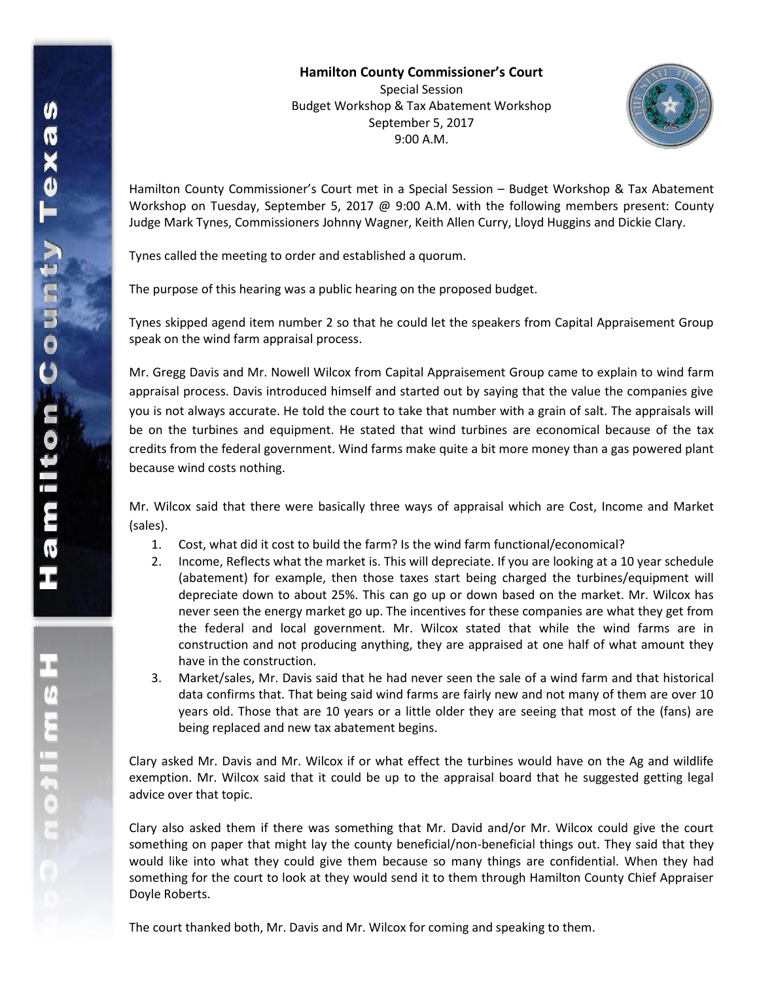**Hamilton County Commissioner's Court** Special Session Budget Workshop & Tax Abatement Workshop September 5, 2017 9:00 A.M.



Hamilton County Commissioner's Court met in a Special Session – Budget Workshop & Tax Abatement Workshop on Tuesday, September 5, 2017  $\omega$  9:00 A.M. with the following members present: County Judge Mark Tynes, Commissioners Johnny Wagner, Keith Allen Curry, Lloyd Huggins and Dickie Clary.

Tynes called the meeting to order and established a quorum.

The purpose of this hearing was a public hearing on the proposed budget.

Tynes skipped agend item number 2 so that he could let the speakers from Capital Appraisement Group speak on the wind farm appraisal process.

Mr. Gregg Davis and Mr. Nowell Wilcox from Capital Appraisement Group came to explain to wind farm appraisal process. Davis introduced himself and started out by saying that the value the companies give you is not always accurate. He told the court to take that number with a grain of salt. The appraisals will be on the turbines and equipment. He stated that wind turbines are economical because of the tax credits from the federal government. Wind farms make quite a bit more money than a gas powered plant because wind costs nothing.

Mr. Wilcox said that there were basically three ways of appraisal which are Cost, Income and Market (sales).

- 1. Cost, what did it cost to build the farm? Is the wind farm functional/economical?
- 2. Income, Reflects what the market is. This will depreciate. If you are looking at a 10 year schedule (abatement) for example, then those taxes start being charged the turbines/equipment will depreciate down to about 25%. This can go up or down based on the market. Mr. Wilcox has never seen the energy market go up. The incentives for these companies are what they get from the federal and local government. Mr. Wilcox stated that while the wind farms are in construction and not producing anything, they are appraised at one half of what amount they have in the construction.
- 3. Market/sales, Mr. Davis said that he had never seen the sale of a wind farm and that historical data confirms that. That being said wind farms are fairly new and not many of them are over 10 years old. Those that are 10 years or a little older they are seeing that most of the (fans) are being replaced and new tax abatement begins.

Clary asked Mr. Davis and Mr. Wilcox if or what effect the turbines would have on the Ag and wildlife exemption. Mr. Wilcox said that it could be up to the appraisal board that he suggested getting legal advice over that topic.

Clary also asked them if there was something that Mr. David and/or Mr. Wilcox could give the court something on paper that might lay the county beneficial/non-beneficial things out. They said that they would like into what they could give them because so many things are confidential. When they had something for the court to look at they would send it to them through Hamilton County Chief Appraiser Doyle Roberts.

The court thanked both, Mr. Davis and Mr. Wilcox for coming and speaking to them.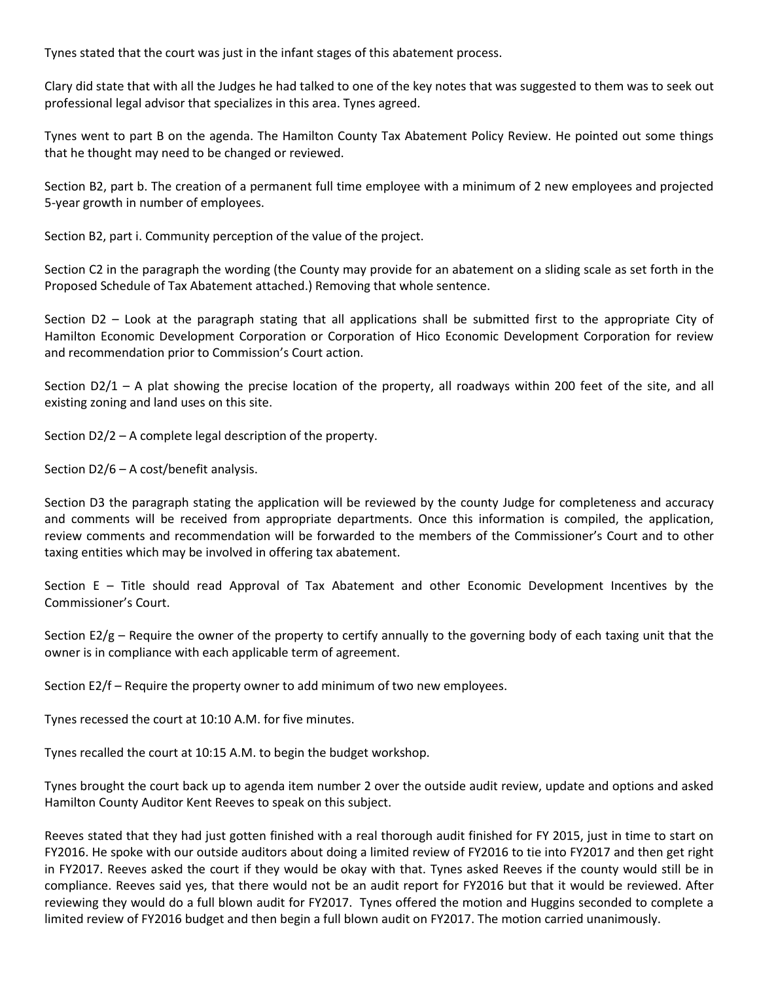Tynes stated that the court was just in the infant stages of this abatement process.

Clary did state that with all the Judges he had talked to one of the key notes that was suggested to them was to seek out professional legal advisor that specializes in this area. Tynes agreed.

Tynes went to part B on the agenda. The Hamilton County Tax Abatement Policy Review. He pointed out some things that he thought may need to be changed or reviewed.

Section B2, part b. The creation of a permanent full time employee with a minimum of 2 new employees and projected 5-year growth in number of employees.

Section B2, part i. Community perception of the value of the project.

Section C2 in the paragraph the wording (the County may provide for an abatement on a sliding scale as set forth in the Proposed Schedule of Tax Abatement attached.) Removing that whole sentence.

Section D2 – Look at the paragraph stating that all applications shall be submitted first to the appropriate City of Hamilton Economic Development Corporation or Corporation of Hico Economic Development Corporation for review and recommendation prior to Commission's Court action.

Section D2/1 – A plat showing the precise location of the property, all roadways within 200 feet of the site, and all existing zoning and land uses on this site.

Section D2/2 – A complete legal description of the property.

Section D2/6 – A cost/benefit analysis.

Section D3 the paragraph stating the application will be reviewed by the county Judge for completeness and accuracy and comments will be received from appropriate departments. Once this information is compiled, the application, review comments and recommendation will be forwarded to the members of the Commissioner's Court and to other taxing entities which may be involved in offering tax abatement.

Section E – Title should read Approval of Tax Abatement and other Economic Development Incentives by the Commissioner's Court.

Section  $E2/g$  – Require the owner of the property to certify annually to the governing body of each taxing unit that the owner is in compliance with each applicable term of agreement.

Section E2/f – Require the property owner to add minimum of two new employees.

Tynes recessed the court at 10:10 A.M. for five minutes.

Tynes recalled the court at 10:15 A.M. to begin the budget workshop.

Tynes brought the court back up to agenda item number 2 over the outside audit review, update and options and asked Hamilton County Auditor Kent Reeves to speak on this subject.

Reeves stated that they had just gotten finished with a real thorough audit finished for FY 2015, just in time to start on FY2016. He spoke with our outside auditors about doing a limited review of FY2016 to tie into FY2017 and then get right in FY2017. Reeves asked the court if they would be okay with that. Tynes asked Reeves if the county would still be in compliance. Reeves said yes, that there would not be an audit report for FY2016 but that it would be reviewed. After reviewing they would do a full blown audit for FY2017. Tynes offered the motion and Huggins seconded to complete a limited review of FY2016 budget and then begin a full blown audit on FY2017. The motion carried unanimously.